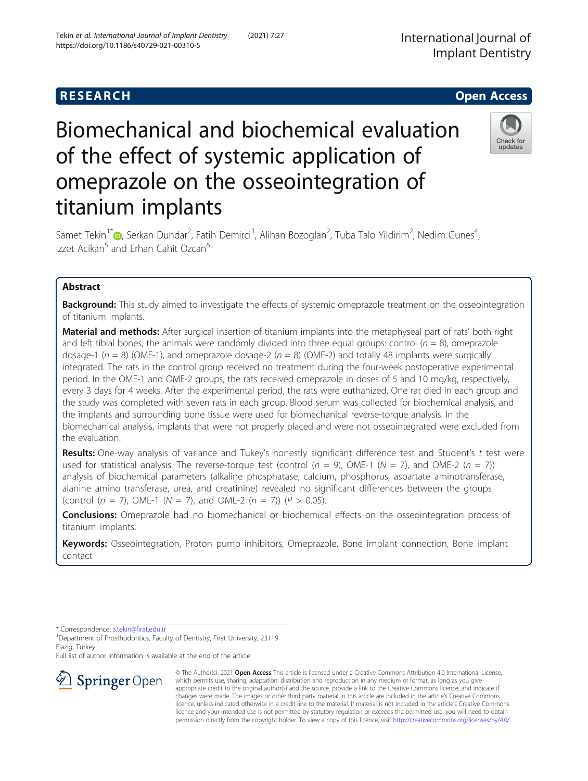# Biomechanical and biochemical evaluation of the effect of systemic application of omeprazole on the osseointegration of titanium implants

Samet Tekin<sup>1\*</sup>�, Serkan Dundar<sup>2</sup>, Fatih Demirci<sup>3</sup>, Alihan Bozoglan<sup>2</sup>, Tuba Talo Yildirim<sup>2</sup>, Nedim Gunes<sup>4</sup> , Izzet Acikan<sup>5</sup> and Erhan Cahit Ozcan<sup>6</sup>

# Abstract

**Background:** This study aimed to investigate the effects of systemic omeprazole treatment on the osseointegration of titanium implants.

Material and methods: After surgical insertion of titanium implants into the metaphyseal part of rats' both right and left tibial bones, the animals were randomly divided into three equal groups: control ( $n = 8$ ), omeprazole dosage-1 ( $n = 8$ ) (OME-1), and omeprazole dosage-2 ( $n = 8$ ) (OME-2) and totally 48 implants were surgically integrated. The rats in the control group received no treatment during the four-week postoperative experimental period. In the OME-1 and OME-2 groups, the rats received omeprazole in doses of 5 and 10 mg/kg, respectively, every 3 days for 4 weeks. After the experimental period, the rats were euthanized. One rat died in each group and the study was completed with seven rats in each group. Blood serum was collected for biochemical analysis, and the implants and surrounding bone tissue were used for biomechanical reverse-torque analysis. In the biomechanical analysis, implants that were not properly placed and were not osseointegrated were excluded from the evaluation.

Results: One-way analysis of variance and Tukey's honestly significant difference test and Student's t test were used for statistical analysis. The reverse-torque test (control  $(n = 9)$ , OME-1 ( $N = 7$ ), and OME-2  $(n = 7)$ ) analysis of biochemical parameters (alkaline phosphatase, calcium, phosphorus, aspartate aminotransferase, alanine amino transferase, urea, and creatinine) revealed no significant differences between the groups (control ( $n = 7$ ), OME-1 ( $N = 7$ ), and OME-2 ( $n = 7$ )) ( $P > 0.05$ ).

**Conclusions:** Omeprazole had no biomechanical or biochemical effects on the osseointegration process of titanium implants.

Keywords: Osseointegration, Proton pump inhibitors, Omeprazole, Bone implant connection, Bone implant contact

\* Correspondence: [s.tekin@firat.edu.tr](mailto:s.tekin@firat.edu.tr) <sup>1</sup>

<sup>1</sup> Department of Prosthodontics, Faculty of Dentistry, Firat University, 23119 Elazig, Turkey

Full list of author information is available at the end of the article





© The Author(s). 2021 Open Access This article is licensed under a Creative Commons Attribution 4.0 International License, which permits use, sharing, adaptation, distribution and reproduction in any medium or format, as long as you give appropriate credit to the original author(s) and the source, provide a link to the Creative Commons licence, and indicate if changes were made. The images or other third party material in this article are included in the article's Creative Commons licence, unless indicated otherwise in a credit line to the material. If material is not included in the article's Creative Commons licence and your intended use is not permitted by statutory regulation or exceeds the permitted use, you will need to obtain permission directly from the copyright holder. To view a copy of this licence, visit <http://creativecommons.org/licenses/by/4.0/>.

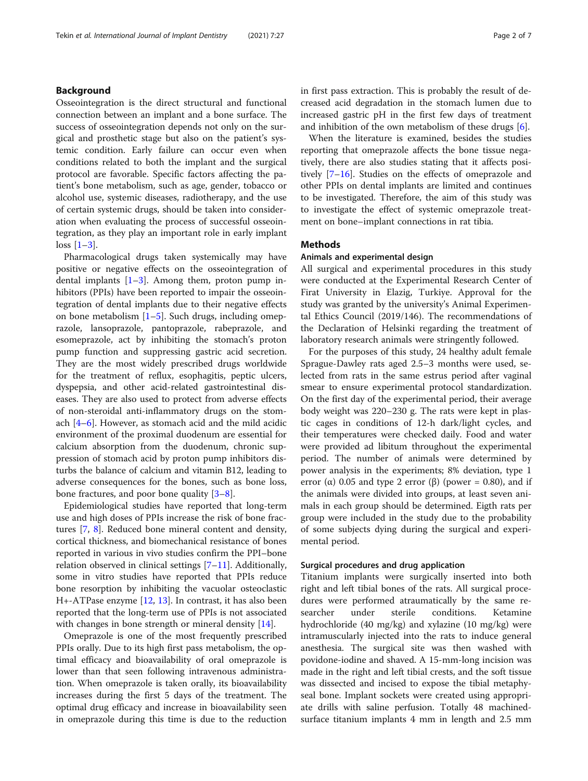## Background

Osseointegration is the direct structural and functional connection between an implant and a bone surface. The success of osseointegration depends not only on the surgical and prosthetic stage but also on the patient's systemic condition. Early failure can occur even when conditions related to both the implant and the surgical protocol are favorable. Specific factors affecting the patient's bone metabolism, such as age, gender, tobacco or alcohol use, systemic diseases, radiotherapy, and the use of certain systemic drugs, should be taken into consideration when evaluating the process of successful osseointegration, as they play an important role in early implant  $\log s$  [\[1](#page-6-0)–[3\]](#page-6-0).

Pharmacological drugs taken systemically may have positive or negative effects on the osseointegration of dental implants  $[1-3]$  $[1-3]$  $[1-3]$  $[1-3]$  $[1-3]$ . Among them, proton pump inhibitors (PPIs) have been reported to impair the osseointegration of dental implants due to their negative effects on bone metabolism [\[1](#page-6-0)–[5](#page-6-0)]. Such drugs, including omeprazole, lansoprazole, pantoprazole, rabeprazole, and esomeprazole, act by inhibiting the stomach's proton pump function and suppressing gastric acid secretion. They are the most widely prescribed drugs worldwide for the treatment of reflux, esophagitis, peptic ulcers, dyspepsia, and other acid-related gastrointestinal diseases. They are also used to protect from adverse effects of non-steroidal anti-inflammatory drugs on the stomach [\[4](#page-6-0)–[6\]](#page-6-0). However, as stomach acid and the mild acidic environment of the proximal duodenum are essential for calcium absorption from the duodenum, chronic suppression of stomach acid by proton pump inhibitors disturbs the balance of calcium and vitamin B12, leading to adverse consequences for the bones, such as bone loss, bone fractures, and poor bone quality [\[3](#page-6-0)–[8\]](#page-6-0).

Epidemiological studies have reported that long-term use and high doses of PPIs increase the risk of bone fractures [[7,](#page-6-0) [8\]](#page-6-0). Reduced bone mineral content and density, cortical thickness, and biomechanical resistance of bones reported in various in vivo studies confirm the PPI–bone relation observed in clinical settings [\[7](#page-6-0)–[11](#page-6-0)]. Additionally, some in vitro studies have reported that PPIs reduce bone resorption by inhibiting the vacuolar osteoclastic H+-ATPase enzyme [\[12,](#page-6-0) [13\]](#page-6-0). In contrast, it has also been reported that the long-term use of PPIs is not associated with changes in bone strength or mineral density [\[14](#page-6-0)].

Omeprazole is one of the most frequently prescribed PPIs orally. Due to its high first pass metabolism, the optimal efficacy and bioavailability of oral omeprazole is lower than that seen following intravenous administration. When omeprazole is taken orally, its bioavailability increases during the first 5 days of the treatment. The optimal drug efficacy and increase in bioavailability seen in omeprazole during this time is due to the reduction in first pass extraction. This is probably the result of decreased acid degradation in the stomach lumen due to increased gastric pH in the first few days of treatment and inhibition of the own metabolism of these drugs  $[6]$  $[6]$  $[6]$ .

When the literature is examined, besides the studies reporting that omeprazole affects the bone tissue negatively, there are also studies stating that it affects positively [[7](#page-6-0)–[16](#page-6-0)]. Studies on the effects of omeprazole and other PPIs on dental implants are limited and continues to be investigated. Therefore, the aim of this study was to investigate the effect of systemic omeprazole treatment on bone–implant connections in rat tibia.

## **Methods**

#### Animals and experimental design

All surgical and experimental procedures in this study were conducted at the Experimental Research Center of Firat University in Elazig, Turkiye. Approval for the study was granted by the university's Animal Experimental Ethics Council (2019/146). The recommendations of the Declaration of Helsinki regarding the treatment of laboratory research animals were stringently followed.

For the purposes of this study, 24 healthy adult female Sprague-Dawley rats aged 2.5–3 months were used, selected from rats in the same estrus period after vaginal smear to ensure experimental protocol standardization. On the first day of the experimental period, their average body weight was 220–230 g. The rats were kept in plastic cages in conditions of 12-h dark/light cycles, and their temperatures were checked daily. Food and water were provided ad libitum throughout the experimental period. The number of animals were determined by power analysis in the experiments; 8% deviation, type 1 error ( $\alpha$ ) 0.05 and type 2 error ( $\beta$ ) (power = 0.80), and if the animals were divided into groups, at least seven animals in each group should be determined. Eigth rats per group were included in the study due to the probability of some subjects dying during the surgical and experimental period.

## Surgical procedures and drug application

Titanium implants were surgically inserted into both right and left tibial bones of the rats. All surgical procedures were performed atraumatically by the same researcher under sterile conditions. Ketamine hydrochloride (40 mg/kg) and xylazine (10 mg/kg) were intramuscularly injected into the rats to induce general anesthesia. The surgical site was then washed with povidone-iodine and shaved. A 15-mm-long incision was made in the right and left tibial crests, and the soft tissue was dissected and incised to expose the tibial metaphyseal bone. Implant sockets were created using appropriate drills with saline perfusion. Totally 48 machinedsurface titanium implants 4 mm in length and 2.5 mm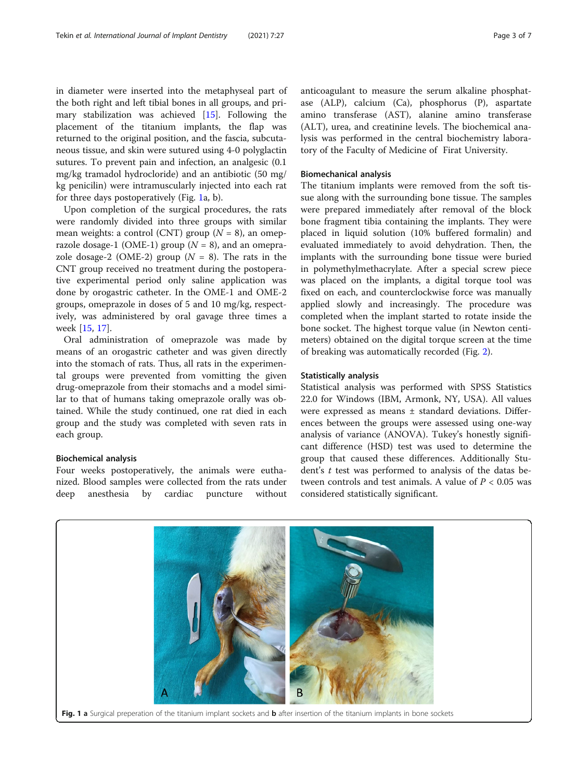in diameter were inserted into the metaphyseal part of the both right and left tibial bones in all groups, and primary stabilization was achieved [\[15](#page-6-0)]. Following the placement of the titanium implants, the flap was returned to the original position, and the fascia, subcutaneous tissue, and skin were sutured using 4-0 polyglactin sutures. To prevent pain and infection, an analgesic (0.1 mg/kg tramadol hydrocloride) and an antibiotic (50 mg/ kg penicilin) were intramuscularly injected into each rat for three days postoperatively (Fig. 1a, b).

Upon completion of the surgical procedures, the rats were randomly divided into three groups with similar mean weights: a control (CNT) group  $(N = 8)$ , an omeprazole dosage-1 (OME-1) group ( $N = 8$ ), and an omeprazole dosage-2 (OME-2) group  $(N = 8)$ . The rats in the CNT group received no treatment during the postoperative experimental period only saline application was done by orogastric catheter. In the OME-1 and OME-2 groups, omeprazole in doses of 5 and 10 mg/kg, respectively, was administered by oral gavage three times a week [\[15](#page-6-0), [17](#page-6-0)].

Oral administration of omeprazole was made by means of an orogastric catheter and was given directly into the stomach of rats. Thus, all rats in the experimental groups were prevented from vomitting the given drug-omeprazole from their stomachs and a model similar to that of humans taking omeprazole orally was obtained. While the study continued, one rat died in each group and the study was completed with seven rats in each group.

#### Biochemical analysis

Four weeks postoperatively, the animals were euthanized. Blood samples were collected from the rats under deep anesthesia by cardiac puncture without anticoagulant to measure the serum alkaline phosphatase (ALP), calcium (Ca), phosphorus (P), aspartate amino transferase (AST), alanine amino transferase (ALT), urea, and creatinine levels. The biochemical analysis was performed in the central biochemistry laboratory of the Faculty of Medicine of Firat University.

## Biomechanical analysis

The titanium implants were removed from the soft tissue along with the surrounding bone tissue. The samples were prepared immediately after removal of the block bone fragment tibia containing the implants. They were placed in liquid solution (10% buffered formalin) and evaluated immediately to avoid dehydration. Then, the implants with the surrounding bone tissue were buried in polymethylmethacrylate. After a special screw piece was placed on the implants, a digital torque tool was fixed on each, and counterclockwise force was manually applied slowly and increasingly. The procedure was completed when the implant started to rotate inside the bone socket. The highest torque value (in Newton centimeters) obtained on the digital torque screen at the time of breaking was automatically recorded (Fig. [2\)](#page-3-0).

### Statistically analysis

Statistical analysis was performed with SPSS Statistics 22.0 for Windows (IBM, Armonk, NY, USA). All values were expressed as means ± standard deviations. Differences between the groups were assessed using one-way analysis of variance (ANOVA). Tukey's honestly significant difference (HSD) test was used to determine the group that caused these differences. Additionally Student's t test was performed to analysis of the datas between controls and test animals. A value of  $P < 0.05$  was considered statistically significant.

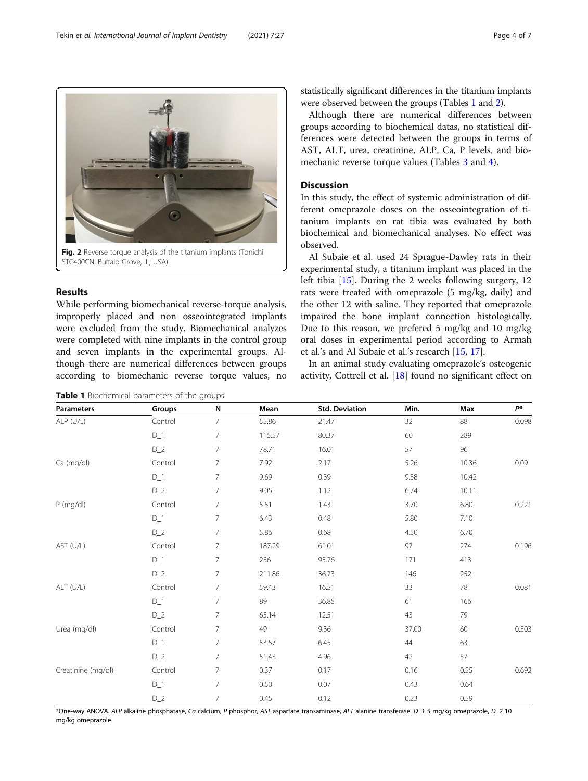<span id="page-3-0"></span>

## Results

While performing biomechanical reverse-torque analysis, improperly placed and non osseointegrated implants were excluded from the study. Biomechanical analyzes were completed with nine implants in the control group and seven implants in the experimental groups. Although there are numerical differences between groups according to biomechanic reverse torque values, no

Table 1 Biochemical parameters of the groups

statistically significant differences in the titanium implants were observed between the groups (Tables 1 and [2](#page-4-0)).

Although there are numerical differences between groups according to biochemical datas, no statistical differences were detected between the groups in terms of AST, ALT, urea, creatinine, ALP, Ca, P levels, and biomechanic reverse torque values (Tables [3](#page-4-0) and [4\)](#page-5-0).

## Discussion

In this study, the effect of systemic administration of different omeprazole doses on the osseointegration of titanium implants on rat tibia was evaluated by both biochemical and biomechanical analyses. No effect was observed.

Al Subaie et al. used 24 Sprague-Dawley rats in their experimental study, a titanium implant was placed in the left tibia [\[15](#page-6-0)]. During the 2 weeks following surgery, 12 rats were treated with omeprazole (5 mg/kg, daily) and the other 12 with saline. They reported that omeprazole impaired the bone implant connection histologically. Due to this reason, we prefered 5 mg/kg and 10 mg/kg oral doses in experimental period according to Armah et al.'s and Al Subaie et al.'s research [[15](#page-6-0), [17](#page-6-0)].

In an animal study evaluating omeprazole's osteogenic activity, Cottrell et al. [\[18](#page-6-0)] found no significant effect on

| <b>Parameters</b>  | Groups  | N               | Mean   | <b>Std. Deviation</b> | Min.  | Max   | $P^*$ |
|--------------------|---------|-----------------|--------|-----------------------|-------|-------|-------|
| ALP (U/L)          | Control | $\overline{7}$  | 55.86  | 21.47                 | 32    | 88    | 0.098 |
|                    | $D_1$   | $\overline{7}$  | 115.57 | 80.37                 | 60    | 289   |       |
|                    | $D_2$   | $\overline{7}$  | 78.71  | 16.01                 | 57    | 96    |       |
| Ca (mg/dl)         | Control | $\overline{7}$  | 7.92   | 2.17                  | 5.26  | 10.36 | 0.09  |
|                    | $D_1$   | $\overline{7}$  | 9.69   | 0.39                  | 9.38  | 10.42 |       |
|                    | $D_2$   | $\overline{7}$  | 9.05   | 1.12                  | 6.74  | 10.11 |       |
| P (mg/dl)          | Control | $\overline{7}$  | 5.51   | 1.43                  | 3.70  | 6.80  | 0.221 |
|                    | $D_1$   | $\overline{7}$  | 6.43   | 0.48                  | 5.80  | 7.10  |       |
|                    | $D_2$   | $\overline{7}$  | 5.86   | 0.68                  | 4.50  | 6.70  |       |
| AST (U/L)          | Control | $\overline{7}$  | 187.29 | 61.01                 | 97    | 274   | 0.196 |
|                    | $D_1$   | $\overline{7}$  | 256    | 95.76                 | 171   | 413   |       |
|                    | $D_2$   | $\overline{7}$  | 211.86 | 36.73                 | 146   | 252   |       |
| ALT (U/L)          | Control | $\overline{7}$  | 59.43  | 16.51                 | 33    | 78    | 0.081 |
|                    | $D_1$   | $7\overline{ }$ | 89     | 36.85                 | 61    | 166   |       |
|                    | $D_2$   | $\overline{7}$  | 65.14  | 12.51                 | 43    | 79    |       |
| Urea (mg/dl)       | Control | $\overline{7}$  | 49     | 9.36                  | 37.00 | 60    | 0.503 |
|                    | $D_1$   | $\overline{7}$  | 53.57  | 6.45                  | 44    | 63    |       |
|                    | $D_2$   | $\overline{7}$  | 51.43  | 4.96                  | 42    | 57    |       |
| Creatinine (mg/dl) | Control | $\overline{7}$  | 0.37   | 0.17                  | 0.16  | 0.55  | 0.692 |
|                    | $D_1$   | $\overline{7}$  | 0.50   | 0.07                  | 0.43  | 0.64  |       |
|                    | $D_2$   | $\overline{7}$  | 0.45   | 0.12                  | 0.23  | 0.59  |       |

\*One-way ANOVA. ALP alkaline phosphatase, Ca calcium, P phosphor, AST aspartate transaminase, ALT alanine transferase. D\_1 5 mg/kg omeprazole, D\_2 10 mg/kg omeprazole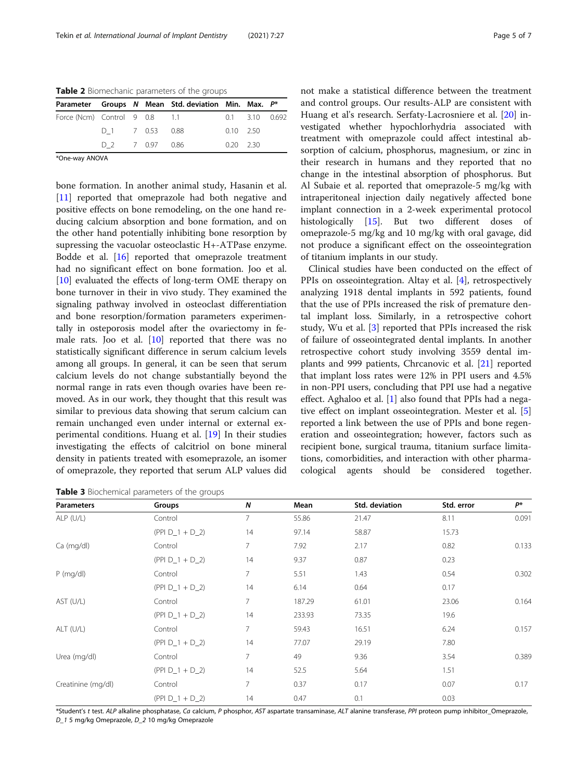<span id="page-4-0"></span>Table 2 Biomechanic parameters of the groups

|                               |                 |  |  | Parameter Groups N Mean Std. deviation Min. Max. P* |                   |                      |  |  |
|-------------------------------|-----------------|--|--|-----------------------------------------------------|-------------------|----------------------|--|--|
| Force (Ncm) Control 9 0.8 1.1 |                 |  |  |                                                     |                   | $0.1$ $3.10$ $0.692$ |  |  |
|                               | D 1 7 0.53 0.88 |  |  |                                                     | $0.10 \quad 2.50$ |                      |  |  |
|                               | D 2 7 0.97 0.86 |  |  |                                                     | $0.20 \quad 2.30$ |                      |  |  |

\*One-way ANOVA

bone formation. In another animal study, Hasanin et al. [[11\]](#page-6-0) reported that omeprazole had both negative and positive effects on bone remodeling, on the one hand reducing calcium absorption and bone formation, and on the other hand potentially inhibiting bone resorption by supressing the vacuolar osteoclastic H+-ATPase enzyme. Bodde et al. [\[16\]](#page-6-0) reported that omeprazole treatment had no significant effect on bone formation. Joo et al. [[10\]](#page-6-0) evaluated the effects of long-term OME therapy on bone turnover in their in vivo study. They examined the signaling pathway involved in osteoclast differentiation and bone resorption/formation parameters experimentally in osteporosis model after the ovariectomy in female rats. Joo et al.  $[10]$  $[10]$  reported that there was no statistically significant difference in serum calcium levels among all groups. In general, it can be seen that serum calcium levels do not change substantially beyond the normal range in rats even though ovaries have been removed. As in our work, they thought that this result was similar to previous data showing that serum calcium can remain unchanged even under internal or external experimental conditions. Huang et al. [[19\]](#page-6-0) In their studies investigating the effects of calcitriol on bone mineral density in patients treated with esomeprazole, an isomer of omeprazole, they reported that serum ALP values did

Table 3 Biochemical parameters of the groups

not make a statistical difference between the treatment and control groups. Our results-ALP are consistent with Huang et al's research. Serfaty-Lacrosniere et al. [[20](#page-6-0)] investigated whether hypochlorhydria associated with treatment with omeprazole could affect intestinal absorption of calcium, phosphorus, magnesium, or zinc in their research in humans and they reported that no change in the intestinal absorption of phosphorus. But Al Subaie et al. reported that omeprazole-5 mg/kg with intraperitoneal injection daily negatively affected bone implant connection in a 2-week experimental protocol histologically [\[15](#page-6-0)]. But two different doses of omeprazole-5 mg/kg and 10 mg/kg with oral gavage, did not produce a significant effect on the osseointegration of titanium implants in our study.

Clinical studies have been conducted on the effect of PPIs on osseointegration. Altay et al. [\[4](#page-6-0)], retrospectively analyzing 1918 dental implants in 592 patients, found that the use of PPIs increased the risk of premature dental implant loss. Similarly, in a retrospective cohort study, Wu et al. [\[3](#page-6-0)] reported that PPIs increased the risk of failure of osseointegrated dental implants. In another retrospective cohort study involving 3559 dental implants and 999 patients, Chrcanovic et al. [[21\]](#page-6-0) reported that implant loss rates were 12% in PPI users and 4.5% in non-PPI users, concluding that PPI use had a negative effect. Aghaloo et al. [[1](#page-6-0)] also found that PPIs had a negative effect on implant osseointegration. Mester et al. [\[5](#page-6-0)] reported a link between the use of PPIs and bone regeneration and osseointegration; however, factors such as recipient bone, surgical trauma, titanium surface limitations, comorbidities, and interaction with other pharmacological agents should be considered together.

| <b>Parameters</b>  | Groups            | N              | Mean   | Std. deviation | Std. error | $P^*$ |
|--------------------|-------------------|----------------|--------|----------------|------------|-------|
| ALP (U/L)          | Control           | 7              | 55.86  | 21.47          | 8.11       | 0.091 |
|                    | $(PPI D_1 + D_2)$ | 14             | 97.14  | 58.87          | 15.73      |       |
| Ca (mg/dl)         | Control           | 7              | 7.92   | 2.17           | 0.82       | 0.133 |
|                    | $(PPI D_1 + D_2)$ | 14             | 9.37   | 0.87           | 0.23       |       |
| $P$ (mg/dl)        | Control           | $\overline{7}$ | 5.51   | 1.43           | 0.54       | 0.302 |
|                    | $(PPI D_1 + D_2)$ | 14             | 6.14   | 0.64           | 0.17       |       |
| AST (U/L)          | Control           | $\overline{7}$ | 187.29 | 61.01          | 23.06      | 0.164 |
|                    | $(PPI D_1 + D_2)$ | 14             | 233.93 | 73.35          | 19.6       |       |
| ALT (U/L)          | Control           | $\overline{7}$ | 59.43  | 16.51          | 6.24       | 0.157 |
|                    | $(PPI D_1 + D_2)$ | 14             | 77.07  | 29.19          | 7.80       |       |
| Urea (mg/dl)       | Control           | $\overline{7}$ | 49     | 9.36           | 3.54       | 0.389 |
|                    | $(PPI D_1 + D_2)$ | 14             | 52.5   | 5.64           | 1.51       |       |
| Creatinine (mg/dl) | Control           | $\overline{7}$ | 0.37   | 0.17           | 0.07       | 0.17  |
|                    | $(PPI D_1 + D_2)$ | 14             | 0.47   | 0.1            | 0.03       |       |

\*Student's t test. ALP alkaline phosphatase, Ca calcium, P phosphor, AST aspartate transaminase, ALT alanine transferase, PPI proteon pump inhibitor\_Omeprazole, D\_1 5 mg/kg Omeprazole, D\_2 10 mg/kg Omeprazole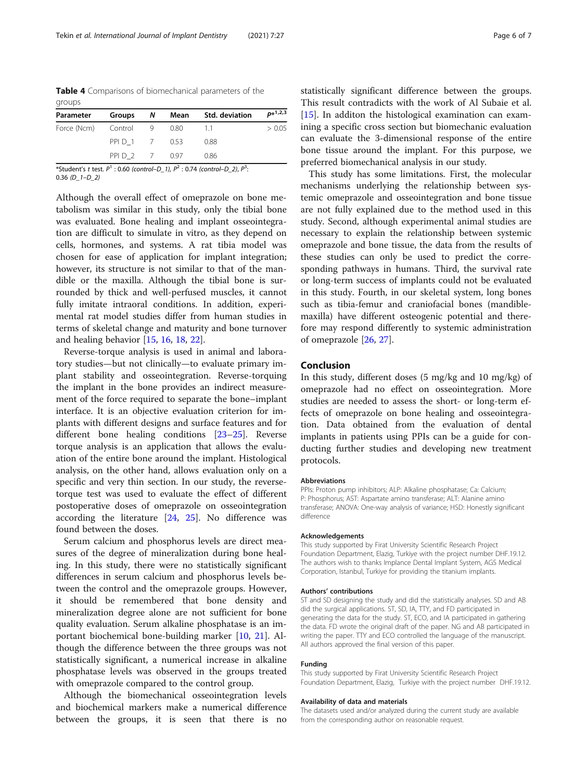<span id="page-5-0"></span>Table 4 Comparisons of biomechanical parameters of the groups

| Parameter             |               | Groups N Mean | Std. deviation | $p*1,2,3$ |
|-----------------------|---------------|---------------|----------------|-----------|
| Force (Ncm) Control 9 |               | - 0.80        | - 11           | > 0.05    |
|                       | PPID 1 7 0.53 |               | 0.88           |           |
|                       | PPID 2 7 0.97 |               | 0.86           |           |

\*Student's t test.  $P^1$ : 0.60 (control–D\_1),  $P^2$ : 0.74 (control–D\_2),  $P^3$ : : 0.36 (D\_1–D\_2)

Although the overall effect of omeprazole on bone metabolism was similar in this study, only the tibial bone was evaluated. Bone healing and implant osseointegration are difficult to simulate in vitro, as they depend on cells, hormones, and systems. A rat tibia model was chosen for ease of application for implant integration; however, its structure is not similar to that of the mandible or the maxilla. Although the tibial bone is surrounded by thick and well-perfused muscles, it cannot fully imitate intraoral conditions. In addition, experimental rat model studies differ from human studies in terms of skeletal change and maturity and bone turnover and healing behavior [\[15,](#page-6-0) [16,](#page-6-0) [18,](#page-6-0) [22\]](#page-6-0).

Reverse-torque analysis is used in animal and laboratory studies—but not clinically—to evaluate primary implant stability and osseointegration. Reverse-torquing the implant in the bone provides an indirect measurement of the force required to separate the bone–implant interface. It is an objective evaluation criterion for implants with different designs and surface features and for different bone healing conditions [\[23](#page-6-0)–[25\]](#page-6-0). Reverse torque analysis is an application that allows the evaluation of the entire bone around the implant. Histological analysis, on the other hand, allows evaluation only on a specific and very thin section. In our study, the reversetorque test was used to evaluate the effect of different postoperative doses of omeprazole on osseointegration according the literature [[24](#page-6-0), [25\]](#page-6-0). No difference was found between the doses.

Serum calcium and phosphorus levels are direct measures of the degree of mineralization during bone healing. In this study, there were no statistically significant differences in serum calcium and phosphorus levels between the control and the omeprazole groups. However, it should be remembered that bone density and mineralization degree alone are not sufficient for bone quality evaluation. Serum alkaline phosphatase is an important biochemical bone-building marker [\[10,](#page-6-0) [21\]](#page-6-0). Although the difference between the three groups was not statistically significant, a numerical increase in alkaline phosphatase levels was observed in the groups treated with omeprazole compared to the control group.

Although the biomechanical osseointegration levels and biochemical markers make a numerical difference between the groups, it is seen that there is no statistically significant difference between the groups. This result contradicts with the work of Al Subaie et al. [[15\]](#page-6-0). In additon the histological examination can examining a specific cross section but biomechanic evaluation can evaluate the 3-dimensional response of the entire bone tissue around the implant. For this purpose, we preferred biomechanical analysis in our study.

This study has some limitations. First, the molecular mechanisms underlying the relationship between systemic omeprazole and osseointegration and bone tissue are not fully explained due to the method used in this study. Second, although experimental animal studies are necessary to explain the relationship between systemic omeprazole and bone tissue, the data from the results of these studies can only be used to predict the corresponding pathways in humans. Third, the survival rate or long-term success of implants could not be evaluated in this study. Fourth, in our skeletal system, long bones such as tibia-femur and craniofacial bones (mandiblemaxilla) have different osteogenic potential and therefore may respond differently to systemic administration of omeprazole [\[26,](#page-6-0) [27\]](#page-6-0).

## Conclusion

In this study, different doses (5 mg/kg and 10 mg/kg) of omeprazole had no effect on osseointegration. More studies are needed to assess the short- or long-term effects of omeprazole on bone healing and osseointegration. Data obtained from the evaluation of dental implants in patients using PPIs can be a guide for conducting further studies and developing new treatment protocols.

#### Abbreviations

PPIs: Proton pump inhibitors; ALP: Alkaline phosphatase; Ca: Calcium; P: Phosphorus; AST: Aspartate amino transferase; ALT: Alanine amino transferase; ANOVA: One-way analysis of variance; HSD: Honestly significant difference

#### Acknowledgements

This study supported by Firat University Scientific Research Project Foundation Department, Elazig, Turkiye with the project number DHF.19.12. The authors wish to thanks Implance Dental Implant System, AGS Medical Corporation, Istanbul, Turkiye for providing the titanium implants.

#### Authors' contributions

ST and SD designing the study and did the statistically analyses. SD and AB did the surgical applications. ST, SD, IA, TTY, and FD participated in generating the data for the study. ST, ECO, and IA participated in gathering the data. FD wrote the original draft of the paper. NG and AB participated in writing the paper. TTY and ECO controlled the language of the manuscript. All authors approved the final version of this paper.

#### Funding

This study supported by Firat University Scientific Research Project Foundation Department, Elazig, Turkiye with the project number DHF.19.12.

#### Availability of data and materials

The datasets used and/or analyzed during the current study are available from the corresponding author on reasonable request.